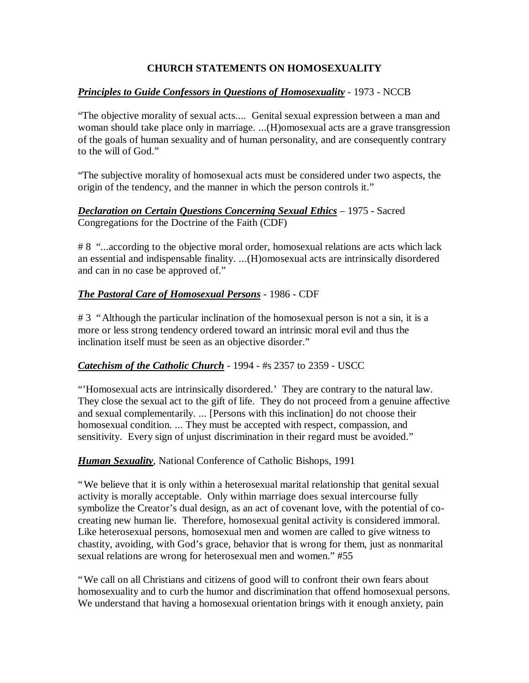# **CHURCH STATEMENTS ON HOMOSEXUALITY**

## *Principles to Guide Confessors in Questions of Homosexuality* - 1973 - NCCB

"The objective morality of sexual acts.... Genital sexual expression between a man and woman should take place only in marriage. ...(H)omosexual acts are a grave transgression of the goals of human sexuality and of human personality, and are consequently contrary to the will of God."

"The subjective morality of homosexual acts must be considered under two aspects, the origin of the tendency, and the manner in which the person controls it."

*Declaration on Certain Questions Concerning Sexual Ethics* – 1975 - Sacred Congregations for the Doctrine of the Faith (CDF)

# 8 "...according to the objective moral order, homosexual relations are acts which lack an essential and indispensable finality. ...(H)omosexual acts are intrinsically disordered and can in no case be approved of."

# *The Pastoral Care of Homosexual Persons* - 1986 - CDF

# 3 "Although the particular inclination of the homosexual person is not a sin, it is a more or less strong tendency ordered toward an intrinsic moral evil and thus the inclination itself must be seen as an objective disorder."

## *Catechism of the Catholic Church* - 1994 - #s 2357 to 2359 - USCC

"'Homosexual acts are intrinsically disordered.' They are contrary to the natural law. They close the sexual act to the gift of life. They do not proceed from a genuine affective and sexual complementarily. ... [Persons with this inclination] do not choose their homosexual condition. ... They must be accepted with respect, compassion, and sensitivity. Every sign of unjust discrimination in their regard must be avoided."

## *Human Sexuality*, National Conference of Catholic Bishops, 1991

"We believe that it is only within a heterosexual marital relationship that genital sexual activity is morally acceptable. Only within marriage does sexual intercourse fully symbolize the Creator's dual design, as an act of covenant love, with the potential of cocreating new human lie. Therefore, homosexual genital activity is considered immoral. Like heterosexual persons, homosexual men and women are called to give witness to chastity, avoiding, with God's grace, behavior that is wrong for them, just as nonmarital sexual relations are wrong for heterosexual men and women." #55

"We call on all Christians and citizens of good will to confront their own fears about homosexuality and to curb the humor and discrimination that offend homosexual persons. We understand that having a homosexual orientation brings with it enough anxiety, pain